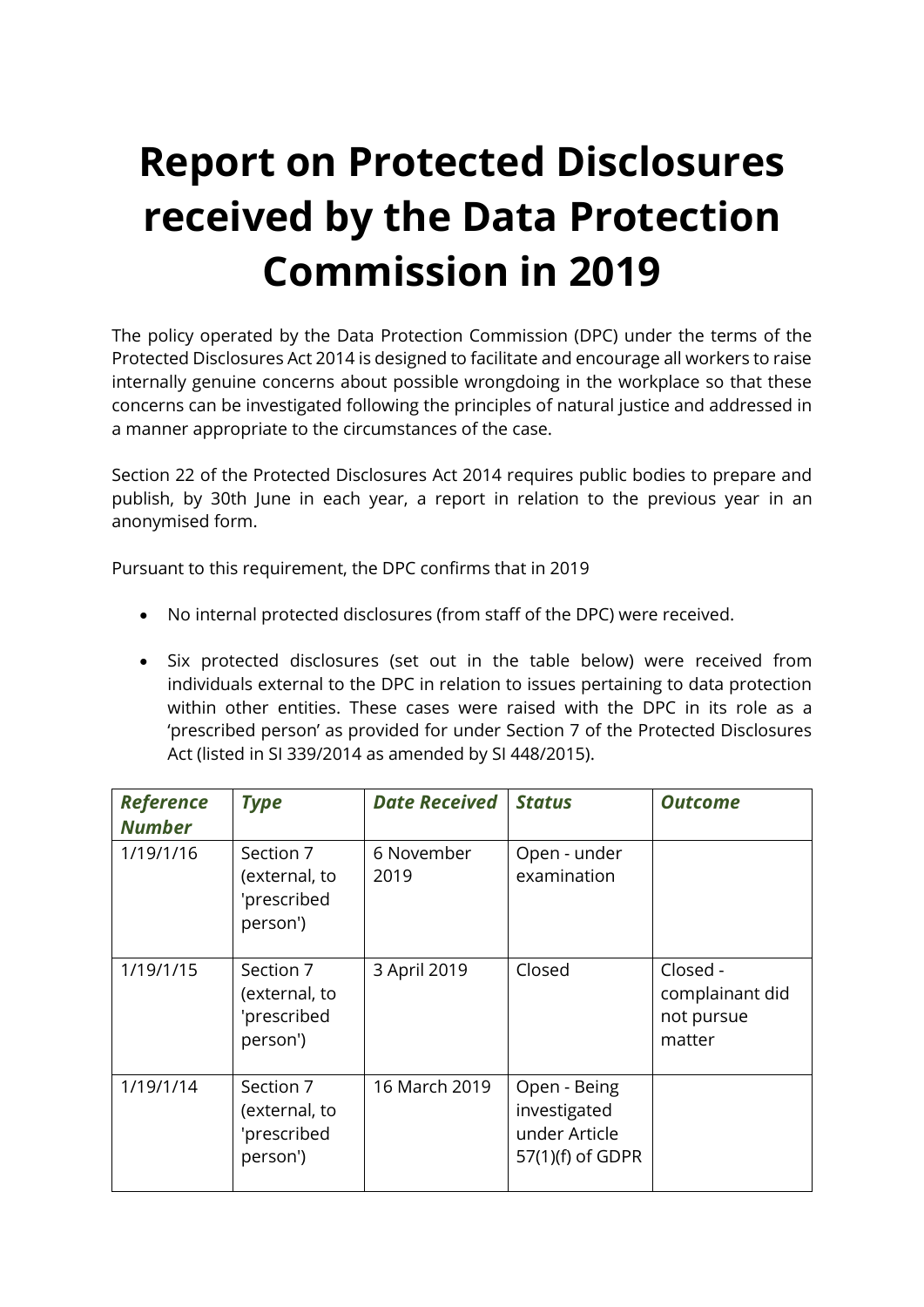## **Report on Protected Disclosures received by the Data Protection Commission in 2019**

The policy operated by the Data Protection Commission (DPC) under the terms of the Protected Disclosures Act 2014 is designed to facilitate and encourage all workers to raise internally genuine concerns about possible wrongdoing in the workplace so that these concerns can be investigated following the principles of natural justice and addressed in a manner appropriate to the circumstances of the case.

Section 22 of the Protected Disclosures Act 2014 requires public bodies to prepare and publish, by 30th June in each year, a report in relation to the previous year in an anonymised form.

Pursuant to this requirement, the DPC confirms that in 2019

- No internal protected disclosures (from staff of the DPC) were received.
- Six protected disclosures (set out in the table below) were received from individuals external to the DPC in relation to issues pertaining to data protection within other entities. These cases were raised with the DPC in its role as a 'prescribed person' as provided for under Section 7 of the Protected Disclosures Act (listed in SI 339/2014 as amended by SI 448/2015).

| <b>Reference</b><br><b>Number</b> | <b>Type</b>                                           | <b>Date Received</b> | <b>Status</b>                                                     | <b>Outcome</b>                                      |
|-----------------------------------|-------------------------------------------------------|----------------------|-------------------------------------------------------------------|-----------------------------------------------------|
| 1/19/1/16                         | Section 7<br>(external, to<br>'prescribed<br>person') | 6 November<br>2019   | Open - under<br>examination                                       |                                                     |
| 1/19/1/15                         | Section 7<br>(external, to<br>'prescribed<br>person') | 3 April 2019         | Closed                                                            | Closed -<br>complainant did<br>not pursue<br>matter |
| 1/19/1/14                         | Section 7<br>(external, to<br>'prescribed<br>person') | 16 March 2019        | Open - Being<br>investigated<br>under Article<br>57(1)(f) of GDPR |                                                     |